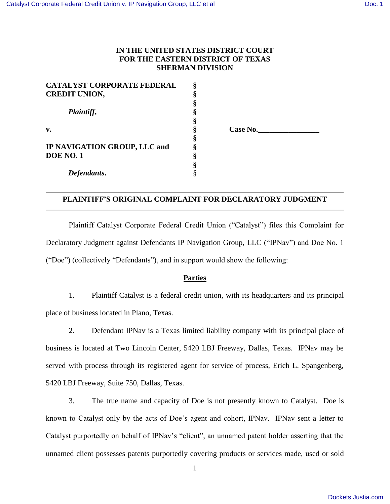# **IN THE UNITED STATES DISTRICT COURT FOR THE EASTERN DISTRICT OF TEXAS SHERMAN DIVISION**

**§**

**§**

**§**

**§**

| <b>CATALYST CORPORATE FEDERAL</b> | ş |
|-----------------------------------|---|
| <b>CREDIT UNION,</b>              | ş |
|                                   | ş |
| Plaintiff,<br>v.                  | § |
|                                   | § |
|                                   | § |
|                                   | ş |
| IP NAVIGATION GROUP, LLC and      | ş |
| <b>DOE NO. 1</b>                  | ş |
|                                   | ş |
| Defendants.                       |   |

**v. § Case No.\_\_\_\_\_\_\_\_\_\_\_\_\_\_\_\_**

# **PLAINTIFF'S ORIGINAL COMPLAINT FOR DECLARATORY JUDGMENT**

Plaintiff Catalyst Corporate Federal Credit Union ("Catalyst") files this Complaint for Declaratory Judgment against Defendants IP Navigation Group, LLC ("IPNav") and Doe No. 1 ("Doe") (collectively "Defendants"), and in support would show the following:

## **Parties**

1. Plaintiff Catalyst is a federal credit union, with its headquarters and its principal place of business located in Plano, Texas.

2. Defendant IPNav is a Texas limited liability company with its principal place of business is located at Two Lincoln Center, 5420 LBJ Freeway, Dallas, Texas. IPNav may be served with process through its registered agent for service of process, Erich L. Spangenberg, 5420 LBJ Freeway, Suite 750, Dallas, Texas.

3. The true name and capacity of Doe is not presently known to Catalyst. Doe is known to Catalyst only by the acts of Doe's agent and cohort, IPNav. IPNav sent a letter to Catalyst purportedly on behalf of IPNav's "client", an unnamed patent holder asserting that the unnamed client possesses patents purportedly covering products or services made, used or sold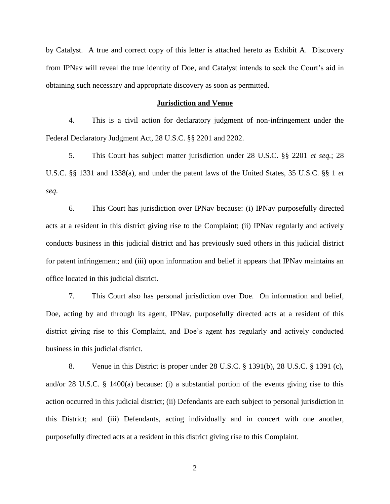by Catalyst. A true and correct copy of this letter is attached hereto as Exhibit A. Discovery from IPNav will reveal the true identity of Doe, and Catalyst intends to seek the Court's aid in obtaining such necessary and appropriate discovery as soon as permitted.

#### **Jurisdiction and Venue**

4. This is a civil action for declaratory judgment of non-infringement under the Federal Declaratory Judgment Act, 28 U.S.C. §§ 2201 and 2202.

5. This Court has subject matter jurisdiction under 28 U.S.C. §§ 2201 *et seq.*; 28 U.S.C. §§ 1331 and 1338(a), and under the patent laws of the United States, 35 U.S.C. §§ 1 *et seq*.

6. This Court has jurisdiction over IPNav because: (i) IPNav purposefully directed acts at a resident in this district giving rise to the Complaint; (ii) IPNav regularly and actively conducts business in this judicial district and has previously sued others in this judicial district for patent infringement; and (iii) upon information and belief it appears that IPNav maintains an office located in this judicial district.

7. This Court also has personal jurisdiction over Doe. On information and belief, Doe, acting by and through its agent, IPNav, purposefully directed acts at a resident of this district giving rise to this Complaint, and Doe's agent has regularly and actively conducted business in this judicial district.

8. Venue in this District is proper under 28 U.S.C. § 1391(b), 28 U.S.C. § 1391 (c), and/or 28 U.S.C. § 1400(a) because: (i) a substantial portion of the events giving rise to this action occurred in this judicial district; (ii) Defendants are each subject to personal jurisdiction in this District; and (iii) Defendants, acting individually and in concert with one another, purposefully directed acts at a resident in this district giving rise to this Complaint.

2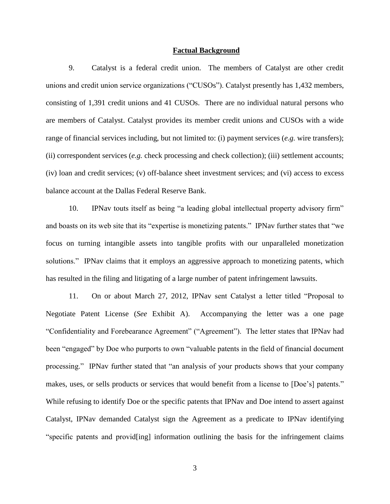#### **Factual Background**

9. Catalyst is a federal credit union. The members of Catalyst are other credit unions and credit union service organizations ("CUSOs"). Catalyst presently has 1,432 members, consisting of 1,391 credit unions and 41 CUSOs. There are no individual natural persons who are members of Catalyst. Catalyst provides its member credit unions and CUSOs with a wide range of financial services including, but not limited to: (i) payment services (*e.g.* wire transfers); (ii) correspondent services (*e.g.* check processing and check collection); (iii) settlement accounts; (iv) loan and credit services; (v) off-balance sheet investment services; and (vi) access to excess balance account at the Dallas Federal Reserve Bank.

10. IPNav touts itself as being "a leading global intellectual property advisory firm" and boasts on its web site that its "expertise is monetizing patents." IPNav further states that "we focus on turning intangible assets into tangible profits with our unparalleled monetization solutions." IPNav claims that it employs an aggressive approach to monetizing patents, which has resulted in the filing and litigating of a large number of patent infringement lawsuits.

11. On or about March 27, 2012, IPNav sent Catalyst a letter titled "Proposal to Negotiate Patent License (*See* Exhibit A). Accompanying the letter was a one page "Confidentiality and Forebearance Agreement" ("Agreement"). The letter states that IPNav had been "engaged" by Doe who purports to own "valuable patents in the field of financial document processing." IPNav further stated that "an analysis of your products shows that your company makes, uses, or sells products or services that would benefit from a license to [Doe's] patents." While refusing to identify Doe or the specific patents that IPNav and Doe intend to assert against Catalyst, IPNav demanded Catalyst sign the Agreement as a predicate to IPNav identifying "specific patents and provid[ing] information outlining the basis for the infringement claims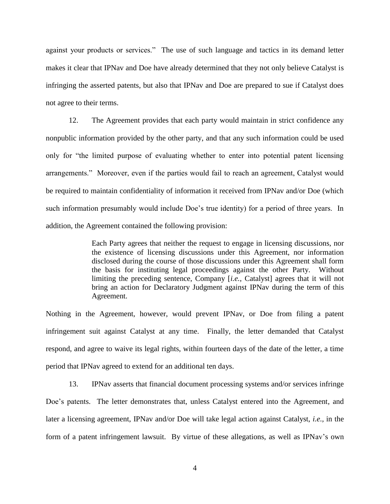against your products or services." The use of such language and tactics in its demand letter makes it clear that IPNav and Doe have already determined that they not only believe Catalyst is infringing the asserted patents, but also that IPNav and Doe are prepared to sue if Catalyst does not agree to their terms.

12. The Agreement provides that each party would maintain in strict confidence any nonpublic information provided by the other party, and that any such information could be used only for "the limited purpose of evaluating whether to enter into potential patent licensing arrangements." Moreover, even if the parties would fail to reach an agreement, Catalyst would be required to maintain confidentiality of information it received from IPNav and/or Doe (which such information presumably would include Doe's true identity) for a period of three years. In addition, the Agreement contained the following provision:

> Each Party agrees that neither the request to engage in licensing discussions, nor the existence of licensing discussions under this Agreement, nor information disclosed during the course of those discussions under this Agreement shall form the basis for instituting legal proceedings against the other Party. Without limiting the preceding sentence, Company [*i.e.*, Catalyst] agrees that it will not bring an action for Declaratory Judgment against IPNav during the term of this Agreement.

Nothing in the Agreement, however, would prevent IPNav, or Doe from filing a patent infringement suit against Catalyst at any time. Finally, the letter demanded that Catalyst respond, and agree to waive its legal rights, within fourteen days of the date of the letter, a time period that IPNav agreed to extend for an additional ten days.

13. IPNav asserts that financial document processing systems and/or services infringe Doe's patents. The letter demonstrates that, unless Catalyst entered into the Agreement, and later a licensing agreement, IPNav and/or Doe will take legal action against Catalyst, *i.e.,* in the form of a patent infringement lawsuit. By virtue of these allegations, as well as IPNav's own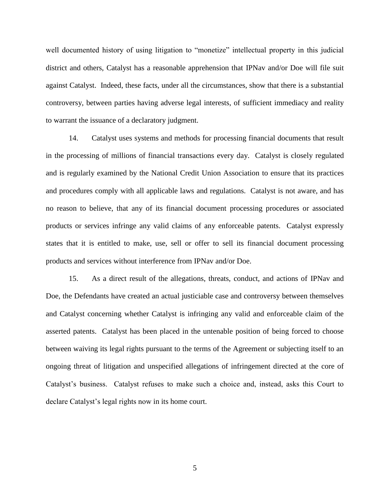well documented history of using litigation to "monetize" intellectual property in this judicial district and others, Catalyst has a reasonable apprehension that IPNav and/or Doe will file suit against Catalyst. Indeed, these facts, under all the circumstances, show that there is a substantial controversy, between parties having adverse legal interests, of sufficient immediacy and reality to warrant the issuance of a declaratory judgment.

14. Catalyst uses systems and methods for processing financial documents that result in the processing of millions of financial transactions every day. Catalyst is closely regulated and is regularly examined by the National Credit Union Association to ensure that its practices and procedures comply with all applicable laws and regulations. Catalyst is not aware, and has no reason to believe, that any of its financial document processing procedures or associated products or services infringe any valid claims of any enforceable patents. Catalyst expressly states that it is entitled to make, use, sell or offer to sell its financial document processing products and services without interference from IPNav and/or Doe.

15. As a direct result of the allegations, threats, conduct, and actions of IPNav and Doe, the Defendants have created an actual justiciable case and controversy between themselves and Catalyst concerning whether Catalyst is infringing any valid and enforceable claim of the asserted patents. Catalyst has been placed in the untenable position of being forced to choose between waiving its legal rights pursuant to the terms of the Agreement or subjecting itself to an ongoing threat of litigation and unspecified allegations of infringement directed at the core of Catalyst's business. Catalyst refuses to make such a choice and, instead, asks this Court to declare Catalyst's legal rights now in its home court.

5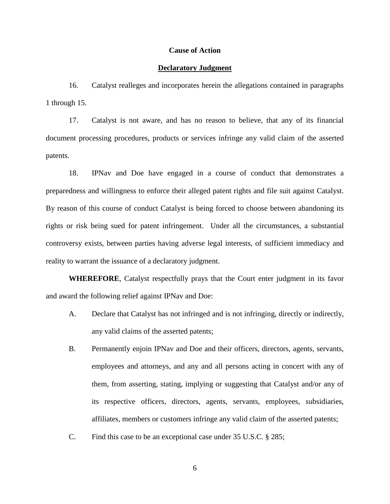#### **Cause of Action**

#### **Declaratory Judgment**

16. Catalyst realleges and incorporates herein the allegations contained in paragraphs 1 through 15.

17. Catalyst is not aware, and has no reason to believe, that any of its financial document processing procedures, products or services infringe any valid claim of the asserted patents.

18. IPNav and Doe have engaged in a course of conduct that demonstrates a preparedness and willingness to enforce their alleged patent rights and file suit against Catalyst. By reason of this course of conduct Catalyst is being forced to choose between abandoning its rights or risk being sued for patent infringement. Under all the circumstances, a substantial controversy exists, between parties having adverse legal interests, of sufficient immediacy and reality to warrant the issuance of a declaratory judgment.

**WHEREFORE**, Catalyst respectfully prays that the Court enter judgment in its favor and award the following relief against IPNav and Doe:

- A. Declare that Catalyst has not infringed and is not infringing, directly or indirectly, any valid claims of the asserted patents;
- B. Permanently enjoin IPNav and Doe and their officers, directors, agents, servants, employees and attorneys, and any and all persons acting in concert with any of them, from asserting, stating, implying or suggesting that Catalyst and/or any of its respective officers, directors, agents, servants, employees, subsidiaries, affiliates, members or customers infringe any valid claim of the asserted patents;
- C. Find this case to be an exceptional case under 35 U.S.C. § 285;